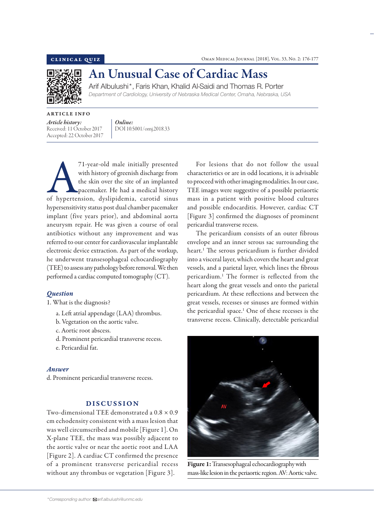

# An Unusual Case of Cardiac Mass

Arif Albulushi\*, Faris Khan, Khalid Al-Saidi and Thomas R. Porter *Department of Cardiology, University of Nebraska Medical Center, Omaha, Nebraska, USA*

ARTICLE INFO *Article history:*  Received: 11 October 2017

Accepted: 22 October 2017

*Online:* DOI 10.5001/omj.2018.33

71-year-old male initially presented<br>
with history of greenish discharge from<br>
the skin over the site of an implanted<br>
pacemaker. He had a medical history<br>
of hypertension, dyslipidemia, carotid sinus with history of greenish discharge from the skin over the site of an implanted pacemaker. He had a medical history hypersensitivity status post dual chamber pacemaker implant (five years prior), and abdominal aorta aneurysm repair. He was given a course of oral antibiotics without any improvement and was referred to our center for cardiovascular implantable electronic device extraction. As part of the workup, he underwent transesophageal echocardiography (TEE) to assess any pathology before removal. We then performed a cardiac computed tomography (CT).

## *Question*

1. What is the diagnosis?

- a. Left atrial appendage (LAA) thrombus.
- b. Vegetation on the aortic valve.
- c. Aortic root abscess.
- d. Prominent pericardial transverse recess.
- e. Pericardial fat.

### *Answer*

d. Prominent pericardial transverse recess.

# DISCUSSION

Two-dimensional TEE demonstrated a  $0.8 \times 0.9$ cm echodensity consistent with a mass lesion that was well circumscribed and mobile [Figure 1]. On X-plane TEE, the mass was possibly adjacent to the aortic valve or near the aortic root and LAA [Figure 2]. A cardiac CT confirmed the presence of a prominent transverse pericardial recess without any thrombus or vegetation [Figure 3].

For lesions that do not follow the usual characteristics or are in odd locations, it is advisable to proceed with other imaging modalities. In our case, TEE images were suggestive of a possible periaortic mass in a patient with positive blood cultures and possible endocarditis. However, cardiac CT [Figure 3] confirmed the diagnoses of prominent pericardial transverse recess.

The pericardium consists of an outer fibrous envelope and an inner serous sac surrounding the heart.1 The serous pericardium is further divided into a visceral layer, which covers the heart and great vessels, and a parietal layer, which lines the fibrous pericardium.1 The former is reflected from the heart along the great vessels and onto the parietal pericardium. At these reflections and between the great vessels, recesses or sinuses are formed within the pericardial space.<sup>1</sup> One of these recesses is the transverse recess. Clinically, detectable pericardial



Figure 1: Transesophageal echocardiography with mass-like lesion in the periaortic region. AV: Aortic valve.